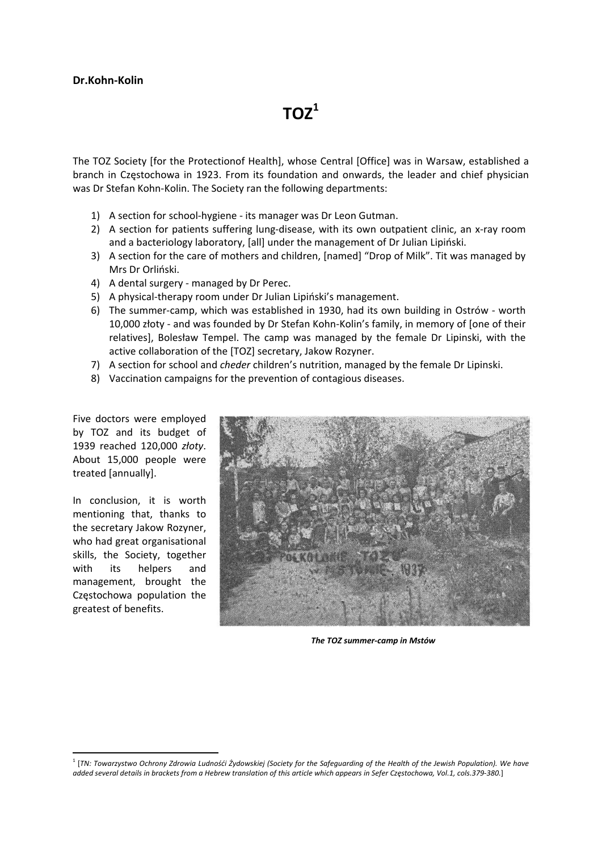$TOZ<sup>1</sup>$ 

The TOZ Society [for the Protectionof Health], whose Central [Office] was in Warsaw, established a branch in Częstochowa in 1923. From its foundation and onwards, the leader and chief physician was Dr Stefan Kohn-Kolin. The Society ran the following departments:

- 1) A section for school-hygiene its manager was Dr Leon Gutman.
- 2) A section for patients suffering lung-disease, with its own outpatient clinic, an x-ray room and a bacteriology laboratory, [all] under the management of Dr Julian Lipiński.
- 3) A section for the care of mothers and children, [named] "Drop of Milk". Tit was managed by Mrs Dr Orliński.
- 4) A dental surgery managed by Dr Perec.
- 5) A physical-therapy room under Dr Julian Lipiński's management.
- 6) The summer‐camp, which was established in 1930, had its own building in Ostrów ‐ worth 10,000 złoty ‐ and was founded by Dr Stefan Kohn‐Kolin's family, in memory of [one of their relatives], Bolesław Tempel. The camp was managed by the female Dr Lipinski, with the active collaboration of the [TOZ] secretary, Jakow Rozyner.
- 7) A section for school and *cheder* children's nutrition, managed by the female Dr Lipinski.
- 8) Vaccination campaigns for the prevention of contagious diseases.

Five doctors were employed by TOZ and its budget of 1939 reached 120,000 *złoty*. About 15,000 people were treated [annually].

In conclusion, it is worth mentioning that, thanks to the secretary Jakow Rozyner, who had great organisational skills, the Society, together with its helpers and management, brought the Częstochowa population the greatest of benefits.



*The TOZ summer‐camp in Mstów*

<sup>&</sup>lt;sup>1</sup> [TN: Towarzystwo Ochrony Zdrowia Ludnośći Żydowskiej (Society for the Safeguarding of the Health of the Jewish Population). We have added several details in brackets from a Hebrew translation of this article which appears in Sefer Częstochowa, Vol.1, cols.379-380.]